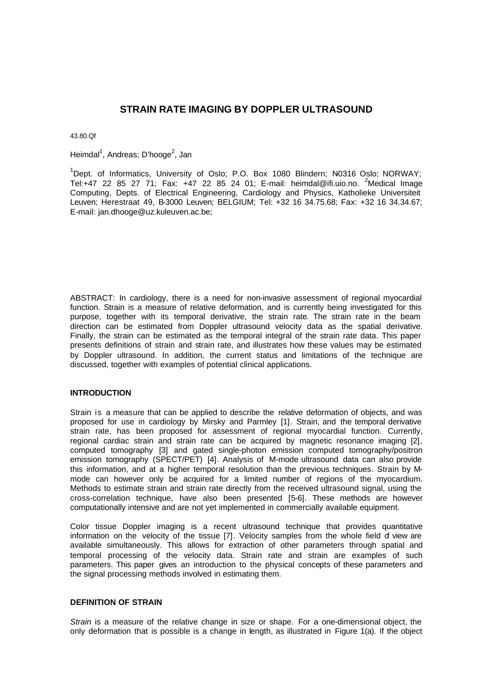# **STRAIN RATE IMAGING BY DOPPLER ULTRASOUND**

43.80.Qf

Heimdal<sup>1</sup>, Andreas; D'hooge<sup>2</sup>, Jan

<sup>1</sup>Dept. of Informatics, University of Oslo; P.O. Box 1080 Blindern; N0316 Oslo; NORWAY; Tel:+47 22 85 27 71; Fax: +47 22 85 24 01; E-mail: heimdal@ifi.uio.no. <sup>2</sup>Medical Image Computing, Depts. of Electrical Engineering, Cardiology and Physics, Katholieke Universiteit Leuven; Herestraat 49, B-3000 Leuven; BELGIUM; Tel: +32 16 34.75.68; Fax: +32 16 34.34.67; E-mail: jan.dhooge@uz.kuleuven.ac.be;

ABSTRACT: In cardiology, there is a need for non-invasive assessment of regional myocardial function. Strain is a measure of relative deformation, and is currently being investigated for this purpose, together with its temporal derivative, the strain rate. The strain rate in the beam direction can be estimated from Doppler ultrasound velocity data as the spatial derivative. Finally, the strain can be estimated as the temporal integral of the strain rate data. This paper presents definitions of strain and strain rate, and illustrates how these values may be estimated by Doppler ultrasound. In addition, the current status and limitations of the technique are discussed, together with examples of potential clinical applications.

## **INTRODUCTION**

Strain is a measure that can be applied to describe the relative deformation of objects, and was proposed for use in cardiology by Mirsky and Parmley [1]. Strain, and the temporal derivative strain rate, has been proposed for assessment of regional myocardial function. Currently, regional cardiac strain and strain rate can be acquired by magnetic resonance imaging [2], computed tomography [3] and gated single-photon emission computed tomography/positron emission tomography (SPECT/PET) [4]. Analysis of M-mode ultrasound data can also provide this information, and at a higher temporal resolution than the previous techniques. Strain by Mmode can however only be acquired for a limited number of regions of the myocardium. Methods to estimate strain and strain rate directly from the received ultrasound signal, using the cross-correlation technique, have also been presented [5-6]. These methods are however computationally intensive and are not yet implemented in commercially available equipment.

Color tissue Doppler imaging is a recent ultrasound technique that provides quantitative information on the velocity of the tissue [7]. Velocity samples from the whole field of view are available simultaneously. This allows for extraction of other parameters through spatial and temporal processing of the velocity data. Strain rate and strain are examples of such parameters. This paper gives an introduction to the physical concepts of these parameters and the signal processing methods involved in estimating them.

# **DEFINITION OF STRAIN**

*Strain* is a measure of the relative change in size or shape. For a one-dimensional object, the only deformation that is possible is a change in length, as illustrated in Figure 1(a). If the object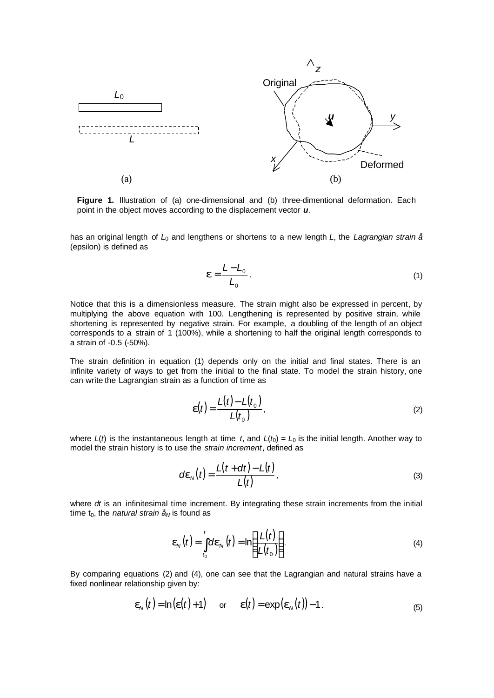

**Figure 1.** Illustration of (a) one-dimensional and (b) three-dimentional deformation. Each point in the object moves according to the displacement vector *u*.

has an original length of *L*0 and lengthens or shortens to a new length *L*, the *Lagrangian strain å* (epsilon) is defined as

$$
\boldsymbol{e} = \frac{L - L_0}{L_0} \,. \tag{1}
$$

Notice that this is a dimensionless measure. The strain might also be expressed in percent, by multiplying the above equation with 100. Lengthening is represented by positive strain, while shortening is represented by negative strain. For example, a doubling of the length of an object corresponds to a strain of 1 (100%), while a shortening to half the original length corresponds to a strain of -0.5 (-50%).

The strain definition in equation (1) depends only on the initial and final states. There is an infinite variety of ways to get from the initial to the final state. To model the strain history, one can write the Lagrangian strain as a function of time as

$$
\boldsymbol{e}(t) = \frac{L(t) - L(t_0)}{L(t_0)},
$$
\n(2)

where  $L(t)$  is the instantaneous length at time *t*, and  $L(t_0) = L_0$  is the initial length. Another way to model the strain history is to use the *strain increment*, defined as

$$
d\boldsymbol{e}_N(t) = \frac{L(t + dt) - L(t)}{L(t)},
$$
\n(3)

where *dt* is an infinitesimal time increment. By integrating these strain increments from the initial time  $t_0$ , the *natural strain*  $\hat{a}_N$  is found as

$$
\boldsymbol{e}_N(t) = \int_{t_0}^t d\boldsymbol{e}_N(t) = \ln\left(\frac{L(t)}{L(t_0)}\right).
$$
 (4)

By comparing equations (2) and (4), one can see that the Lagrangian and natural strains have a fixed nonlinear relationship given by:

$$
\mathbf{e}_N(t) = \ln(\mathbf{e}(t) + 1) \quad \text{or} \quad \mathbf{e}(t) = \exp(\mathbf{e}_N(t)) - 1. \tag{5}
$$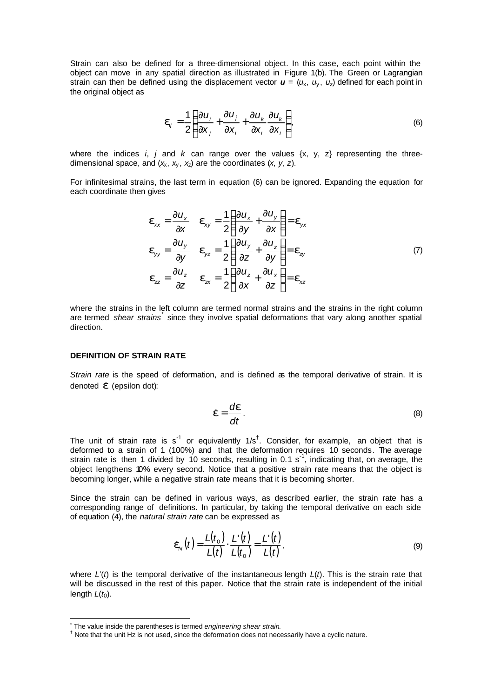Strain can also be defined for a three-dimensional object. In this case, each point within the object can move in any spatial direction as illustrated in Figure 1(b). The Green or Lagrangian strain can then be defined using the displacement vector  $u = (u_x, u_y, u_z)$  defined for each point in the original object as

$$
\boldsymbol{e}_{ij} = \frac{1}{2} \left( \frac{\partial u_i}{\partial x_j} + \frac{\partial u_j}{\partial x_i} + \frac{\partial u_k}{\partial x_i} \frac{\partial u_k}{\partial x_i} \right),\tag{6}
$$

where the indices *i*, *j* and *k* can range over the values  $\{x, y, z\}$  representing the threedimensional space, and  $(x_x, x_y, x_z)$  are the coordinates  $(x, y, z)$ .

For infinitesimal strains, the last term in equation (6) can be ignored. Expanding the equation for each coordinate then gives

$$
\mathbf{e}_{xx} = \frac{\partial u_x}{\partial x} \quad \mathbf{e}_{xy} = \frac{1}{2} \left( \frac{\partial u_x}{\partial y} + \frac{\partial u_y}{\partial x} \right) = \mathbf{e}_{yx}
$$
\n
$$
\mathbf{e}_{yy} = \frac{\partial u_y}{\partial y} \quad \mathbf{e}_{yz} = \frac{1}{2} \left( \frac{\partial u_y}{\partial z} + \frac{\partial u_z}{\partial y} \right) = \mathbf{e}_{zy}
$$
\n
$$
\mathbf{e}_z = \frac{\partial u_z}{\partial z} \quad \mathbf{e}_{zx} = \frac{1}{2} \left( \frac{\partial u_z}{\partial x} + \frac{\partial u_x}{\partial z} \right) = \mathbf{e}_{xz}
$$
\n(7)

where the strains in the left column are termed normal strains and the strains in the right column are termed shear strains<sup>\*</sup> since they involve spatial deformations that vary along another spatial direction.

#### **DEFINITION OF STRAIN RATE**

*Strain rate* is the speed of deformation, and is defined as the temporal derivative of strain. It is denoted  $\dot{\mathbf{e}}$  (epsilon dot):

$$
\dot{\boldsymbol{e}} = \frac{d\boldsymbol{e}}{dt} \tag{8}
$$

The unit of strain rate is s<sup>-1</sup> or equivalently  $1/s<sup>†</sup>$ . Consider, for example, an object that is deformed to a strain of 1 (100%) and that the deformation requires 10 seconds. The average strain rate is then 1 divided by 10 seconds, resulting in 0.1 s<sup>-1</sup>, indicating that, on average, the object lengthens 10% every second. Notice that a positive strain rate means that the object is becoming longer, while a negative strain rate means that it is becoming shorter.

Since the strain can be defined in various ways, as described earlier, the strain rate has a corresponding range of definitions. In particular, by taking the temporal derivative on each side of equation (4), the *natural strain rate* can be expressed as

$$
\dot{\boldsymbol{e}}_{N}(t) = \frac{L(t_0)}{L(t)} \cdot \frac{L'(t)}{L(t_0)} = \frac{L'(t)}{L(t)},
$$
\n(9)

where *L*'(*t*) is the temporal derivative of the instantaneous length *L*(*t*). This is the strain rate that will be discussed in the rest of this paper. Notice that the strain rate is independent of the initial length  $L(t_0)$ .

 $\overline{a}$ 

<sup>\*</sup> The value inside the parentheses is termed *engineering shear strain*.

<sup>†</sup> Note that the unit Hz is not used, since the deformation does not necessarily have a cyclic nature.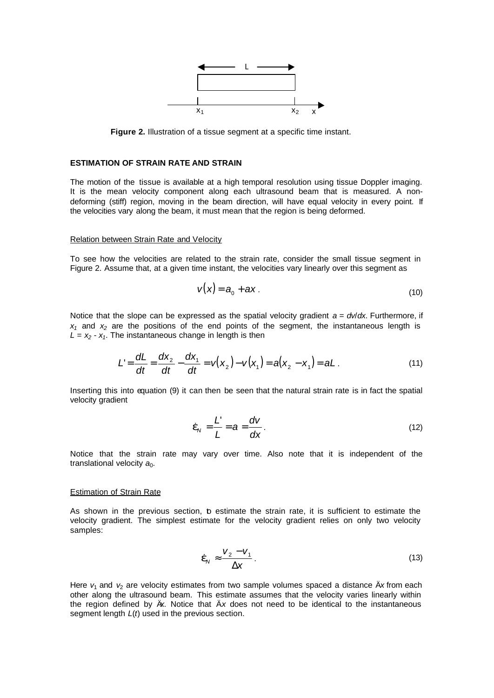

**Figure 2.** Illustration of a tissue segment at a specific time instant.

# **ESTIMATION OF STRAIN RATE AND STRAIN**

The motion of the tissue is available at a high temporal resolution using tissue Doppler imaging. It is the mean velocity component along each ultrasound beam that is measured. A nondeforming (stiff) region, moving in the beam direction, will have equal velocity in every point. If the velocities vary along the beam, it must mean that the region is being deformed.

## Relation between Strain Rate and Velocity

To see how the velocities are related to the strain rate, consider the small tissue segment in Figure 2. Assume that, at a given time instant, the velocities vary linearly over this segment as

 $\sim 10$ 

$$
v(x) = a_0 + ax \tag{10}
$$

Notice that the slope can be expressed as the spatial velocity gradient  $a = d/dx$ . Furthermore, if  $x_1$  and  $x_2$  are the positions of the end points of the segment, the instantaneous length is  $L = x_2 - x_1$ . The instantaneous change in length is then

$$
L' = \frac{dL}{dt} = \frac{dx_2}{dt} - \frac{dx_1}{dt} = v(x_2) - v(x_1) = a(x_2 - x_1) = aL.
$$
 (11)

Inserting this into equation (9) it can then be seen that the natural strain rate is in fact the spatial velocity gradient

$$
\dot{\boldsymbol{e}}_N = \frac{L'}{L} = \boldsymbol{a} = \frac{dV}{d\mathbf{x}}.
$$
\n(12)

Notice that the strain rate may vary over time. Also note that it is independent of the translational velocity  $a_0$ .

#### Estimation of Strain Rate

As shown in the previous section, b estimate the strain rate, it is sufficient to estimate the velocity gradient. The simplest estimate for the velocity gradient relies on only two velocity samples:

$$
\dot{\boldsymbol{e}}_N \approx \frac{\boldsymbol{V}_2 - \boldsymbol{V}_1}{\Delta \mathbf{X}} \,. \tag{13}
$$

Here  $v_1$  and  $v_2$  are velocity estimates from two sample volumes spaced a distance  $\ddot{A}x$  from each other along the ultrasound beam. This estimate assumes that the velocity varies linearly within the region defined by Ä*x*. Notice that Ä*x* does not need to be identical to the instantaneous segment length *L*(*t*) used in the previous section.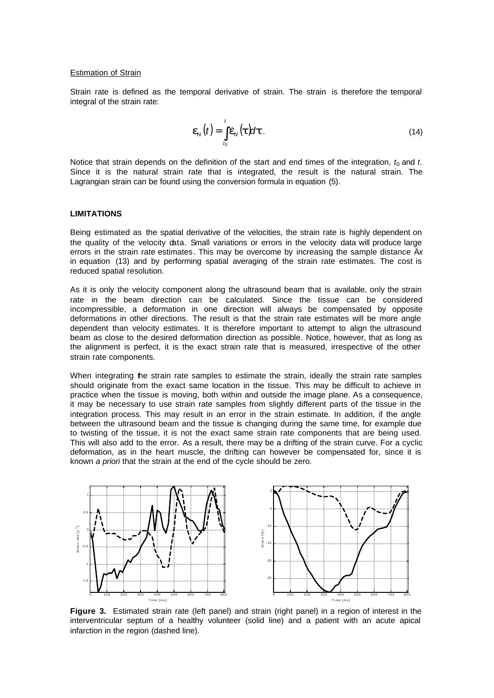## Estimation of Strain

Strain rate is defined as the temporal derivative of strain. The strain is therefore the temporal integral of the strain rate:

$$
\boldsymbol{e}_N(t) = \int_{t_0}^t \dot{\boldsymbol{e}}_N(t) d\boldsymbol{t} \,. \tag{14}
$$

Notice that strain depends on the definition of the start and end times of the integration,  $t_0$  and  $t$ . Since it is the natural strain rate that is integrated, the result is the natural strain. The Lagrangian strain can be found using the conversion formula in equation (5).

# **LIMITATIONS**

Being estimated as the spatial derivative of the velocities, the strain rate is highly dependent on the quality of the velocity data. Small variations or errors in the velocity data will produce large errors in the strain rate estimates. This may be overcome by increasing the sample distance Ä*x* in equation (13) and by performing spatial averaging of the strain rate estimates. The cost is reduced spatial resolution.

As it is only the velocity component along the ultrasound beam that is available, only the strain rate in the beam direction can be calculated. Since the tissue can be considered incompressible, a deformation in one direction will always be compensated by opposite deformations in other directions. The result is that the strain rate estimates will be more angle dependent than velocity estimates. It is therefore important to attempt to align the ultrasound beam as close to the desired deformation direction as possible. Notice, however, that as long as the alignment is perfect, it is the exact strain rate that is measured, irrespective of the other strain rate components.

When integrating the strain rate samples to estimate the strain, ideally the strain rate samples should originate from the exact same location in the tissue. This may be difficult to achieve in practice when the tissue is moving, both within and outside the image plane. As a consequence, it may be necessary to use strain rate samples from slightly different parts of the tissue in the integration process. This may result in an error in the strain estimate. In addition, if the angle between the ultrasound beam and the tissue is changing during the same time, for example due to twisting of the tissue, it is not the exact same strain rate components that are being used. This will also add to the error. As a result, there may be a drifting of the strain curve. For a cyclic deformation, as in the heart muscle, the drifting can however be compensated for, since it is known *a priori* that the strain at the end of the cycle should be zero.



**Figure 3.** Estimated strain rate (left panel) and strain (right panel) in a region of interest in the interventricular septum of a healthy volunteer (solid line) and a patient with an acute apical infarction in the region (dashed line).